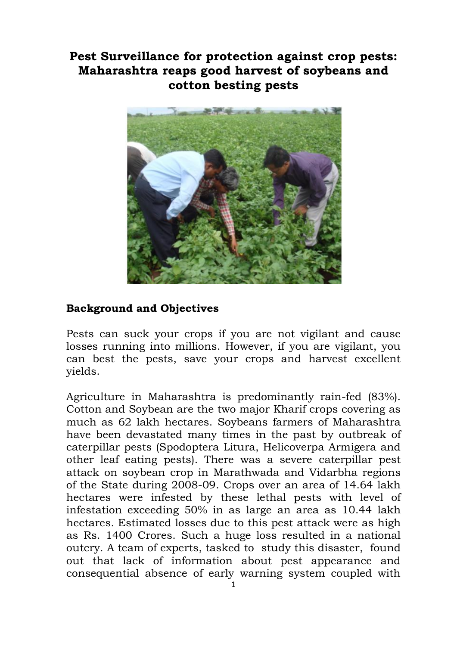# **Pest Surveillance for protection against crop pests: Maharashtra reaps good harvest of soybeans and cotton besting pests**



## **Background and Objectives**

Pests can suck your crops if you are not vigilant and cause losses running into millions. However, if you are vigilant, you can best the pests, save your crops and harvest excellent yields.

Agriculture in Maharashtra is predominantly rain-fed (83%). Cotton and Soybean are the two major Kharif crops covering as much as 62 lakh hectares. Soybeans farmers of Maharashtra have been devastated many times in the past by outbreak of caterpillar pests (Spodoptera Litura, Helicoverpa Armigera and other leaf eating pests). There was a severe caterpillar pest attack on soybean crop in Marathwada and Vidarbha regions of the State during 2008-09. Crops over an area of 14.64 lakh hectares were infested by these lethal pests with level of infestation exceeding 50% in as large an area as 10.44 lakh hectares. Estimated losses due to this pest attack were as high as Rs. 1400 Crores. Such a huge loss resulted in a national outcry. A team of experts, tasked to study this disaster, found out that lack of information about pest appearance and consequential absence of early warning system coupled with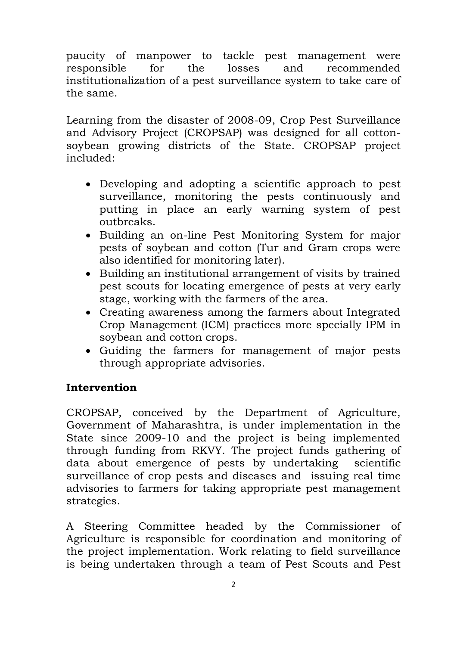paucity of manpower to tackle pest management were responsible for the losses and recommended institutionalization of a pest surveillance system to take care of the same.

Learning from the disaster of 2008-09, Crop Pest Surveillance and Advisory Project (CROPSAP) was designed for all cottonsoybean growing districts of the State. CROPSAP project included:

- Developing and adopting a scientific approach to pest surveillance, monitoring the pests continuously and putting in place an early warning system of pest outbreaks.
- Building an on-line Pest Monitoring System for major pests of soybean and cotton (Tur and Gram crops were also identified for monitoring later).
- Building an institutional arrangement of visits by trained pest scouts for locating emergence of pests at very early stage, working with the farmers of the area.
- Creating awareness among the farmers about Integrated Crop Management (ICM) practices more specially IPM in soybean and cotton crops.
- Guiding the farmers for management of major pests through appropriate advisories.

## **Intervention**

CROPSAP, conceived by the Department of Agriculture, Government of Maharashtra, is under implementation in the State since 2009-10 and the project is being implemented through funding from RKVY. The project funds gathering of data about emergence of pests by undertaking scientific surveillance of crop pests and diseases and issuing real time advisories to farmers for taking appropriate pest management strategies.

A Steering Committee headed by the Commissioner of Agriculture is responsible for coordination and monitoring of the project implementation. Work relating to field surveillance is being undertaken through a team of Pest Scouts and Pest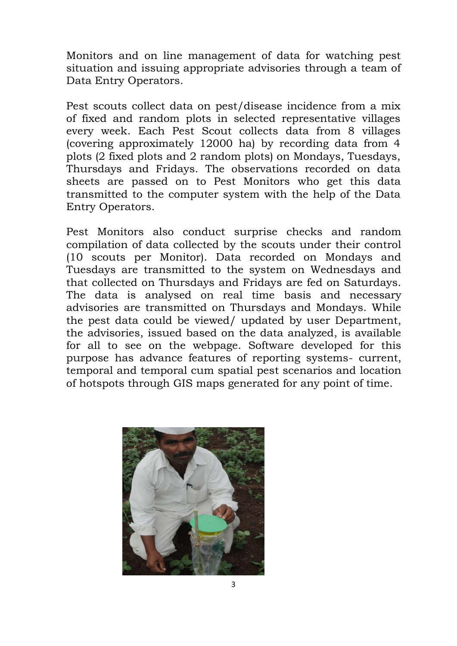Monitors and on line management of data for watching pest situation and issuing appropriate advisories through a team of Data Entry Operators.

Pest scouts collect data on pest/disease incidence from a mix of fixed and random plots in selected representative villages every week. Each Pest Scout collects data from 8 villages (covering approximately 12000 ha) by recording data from 4 plots (2 fixed plots and 2 random plots) on Mondays, Tuesdays, Thursdays and Fridays. The observations recorded on data sheets are passed on to Pest Monitors who get this data transmitted to the computer system with the help of the Data Entry Operators.

Pest Monitors also conduct surprise checks and random compilation of data collected by the scouts under their control (10 scouts per Monitor). Data recorded on Mondays and Tuesdays are transmitted to the system on Wednesdays and that collected on Thursdays and Fridays are fed on Saturdays. The data is analysed on real time basis and necessary advisories are transmitted on Thursdays and Mondays. While the pest data could be viewed/ updated by user Department, the advisories, issued based on the data analyzed, is available for all to see on the webpage. Software developed for this purpose has advance features of reporting systems- current, temporal and temporal cum spatial pest scenarios and location of hotspots through GIS maps generated for any point of time.

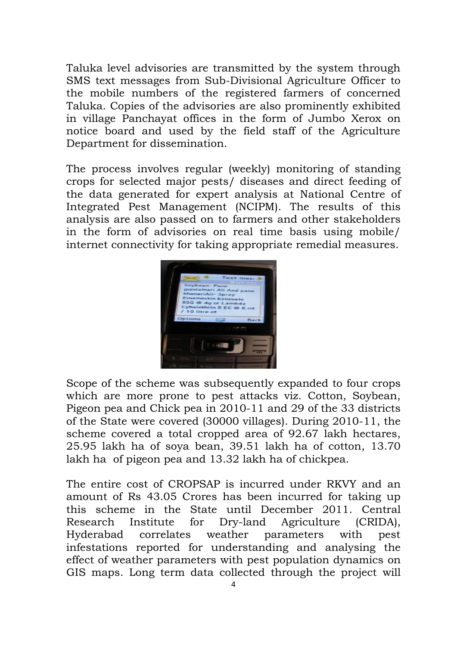Taluka level advisories are transmitted by the system through SMS text messages from Sub-Divisional Agriculture Officer to the mobile numbers of the registered farmers of concerned Taluka. Copies of the advisories are also prominently exhibited in village Panchayat offices in the form of Jumbo Xerox on notice board and used by the field staff of the Agriculture Department for dissemination.

The process involves regular (weekly) monitoring of standing crops for selected major pests/ diseases and direct feeding of the data generated for expert analysis at National Centre of Integrated Pest Management (NCIPM). The results of this analysis are also passed on to farmers and other stakeholders in the form of advisories on real time basis using mobile/ internet connectivity for taking appropriate remedial measures.



Scope of the scheme was subsequently expanded to four crops which are more prone to pest attacks viz. Cotton, Soybean, Pigeon pea and Chick pea in 2010-11 and 29 of the 33 districts of the State were covered (30000 villages). During 2010-11, the scheme covered a total cropped area of 92.67 lakh hectares, 25.95 lakh ha of soya bean, 39.51 lakh ha of cotton, 13.70 lakh ha of pigeon pea and 13.32 lakh ha of chickpea.

The entire cost of CROPSAP is incurred under RKVY and an amount of Rs 43.05 Crores has been incurred for taking up this scheme in the State until December 2011. Central Research Institute for Dry-land Agriculture (CRIDA), Hyderabad correlates weather parameters with pest infestations reported for understanding and analysing the effect of weather parameters with pest population dynamics on GIS maps. Long term data collected through the project will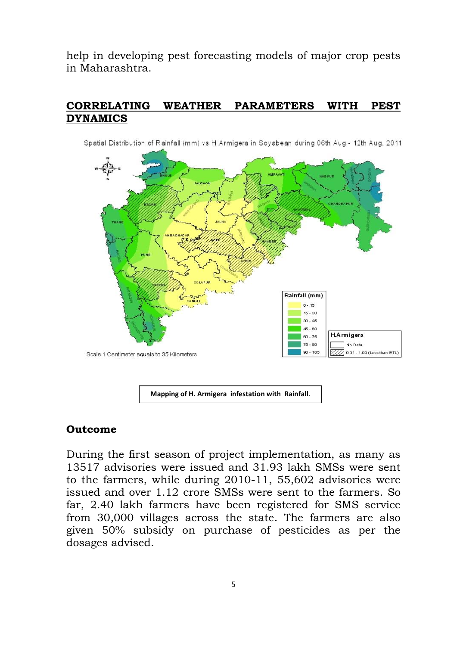help in developing pest forecasting models of major crop pests in Maharashtra.

#### **CORRELATING WEATHER PARAMETERS WITH PEST DYNAMICS**



Spatial Distribution of Rainfall (mm) vs H.Armigera in Sovabean during 06th Aug - 12th Aug. 2011

**Mapping of H. Armigera infestation with Rainfall**.

#### **Outcome**

During the first season of project implementation, as many as 13517 advisories were issued and 31.93 lakh SMSs were sent to the farmers, while during 2010-11, 55,602 advisories were issued and over 1.12 crore SMSs were sent to the farmers. So far, 2.40 lakh farmers have been registered for SMS service from 30,000 villages across the state. The farmers are also given 50% subsidy on purchase of pesticides as per the dosages advised.